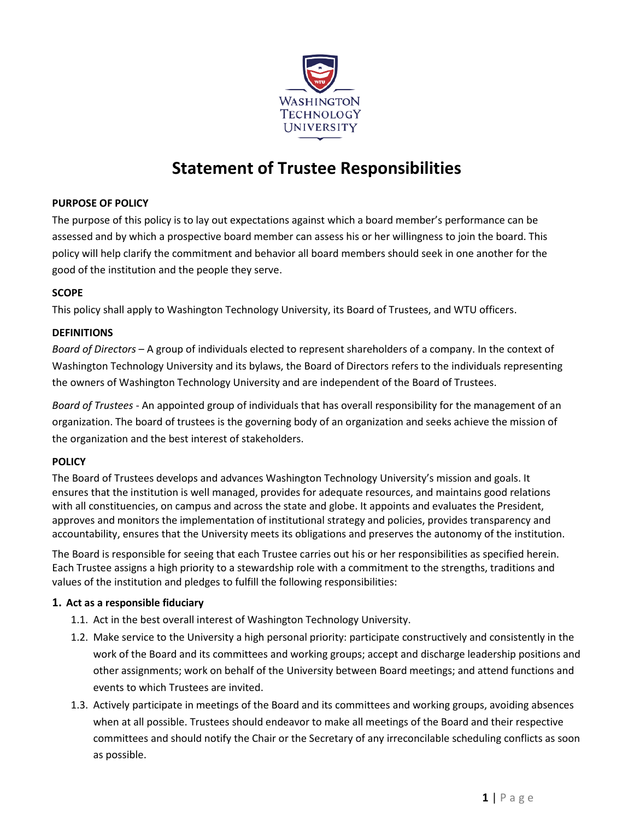

# **Statement of Trustee Responsibilities**

# **PURPOSE OF POLICY**

The purpose of this policy is to lay out expectations against which a board member's performance can be assessed and by which a prospective board member can assess his or her willingness to join the board. This policy will help clarify the commitment and behavior all board members should seek in one another for the good of the institution and the people they serve.

# **SCOPE**

This policy shall apply to Washington Technology University, its Board of Trustees, and WTU officers.

# **DEFINITIONS**

*Board of Directors* – A group of individuals elected to represent shareholders of a company. In the context of Washington Technology University and its bylaws, the Board of Directors refers to the individuals representing the owners of Washington Technology University and are independent of the Board of Trustees.

*Board of Trustees* - An appointed group of individuals that has overall responsibility for the management of an organization. The board of trustees is the governing body of an organization and seeks achieve the mission of the organization and the best interest of stakeholders.

# **POLICY**

The Board of Trustees develops and advances Washington Technology University's mission and goals. It ensures that the institution is well managed, provides for adequate resources, and maintains good relations with all constituencies, on campus and across the state and globe. It appoints and evaluates the President, approves and monitors the implementation of institutional strategy and policies, provides transparency and accountability, ensures that the University meets its obligations and preserves the autonomy of the institution.

The Board is responsible for seeing that each Trustee carries out his or her responsibilities as specified herein. Each Trustee assigns a high priority to a stewardship role with a commitment to the strengths, traditions and values of the institution and pledges to fulfill the following responsibilities:

#### **1. Act as a responsible fiduciary**

- 1.1. Act in the best overall interest of Washington Technology University.
- 1.2. Make service to the University a high personal priority: participate constructively and consistently in the work of the Board and its committees and working groups; accept and discharge leadership positions and other assignments; work on behalf of the University between Board meetings; and attend functions and events to which Trustees are invited.
- 1.3. Actively participate in meetings of the Board and its committees and working groups, avoiding absences when at all possible. Trustees should endeavor to make all meetings of the Board and their respective committees and should notify the Chair or the Secretary of any irreconcilable scheduling conflicts as soon as possible.